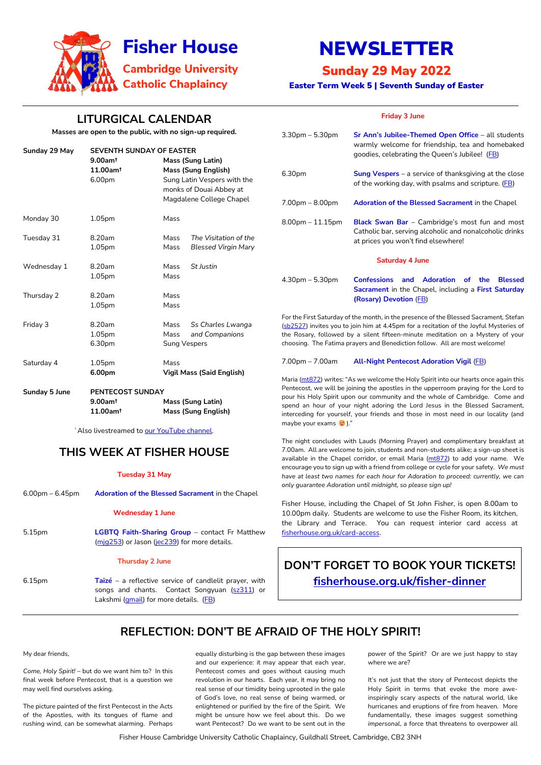Fisher House Cambridge University Catholic Chaplaincy, Guildhall Street, Cambridge, CB2 3NH



# NEWSLETTER

# Sunday 29 May 2022

Easter Term Week 5 | Seventh Sunday of Easter

# **LITURGICAL CALENDAR**

**Masses are open to the public, with no sign-up required.**

| Sunday 29 May | <b>SEVENTH SUNDAY OF EASTER</b>                          |                                                                                                                                              |                                                     |
|---------------|----------------------------------------------------------|----------------------------------------------------------------------------------------------------------------------------------------------|-----------------------------------------------------|
|               | $9.00$ am <sup>t</sup><br>11.00am <sup>t</sup><br>6.00pm | <b>Mass (Sung Latin)</b><br><b>Mass (Sung English)</b><br>Sung Latin Vespers with the<br>monks of Douai Abbey at<br>Magdalene College Chapel |                                                     |
| Monday 30     | 1.05 <sub>pm</sub>                                       | Mass                                                                                                                                         |                                                     |
| Tuesday 31    | 8.20am<br>1.05pm                                         | Mass<br>Mass                                                                                                                                 | The Visitation of the<br><b>Blessed Virgin Mary</b> |
| Wednesday 1   | 8.20am<br>1.05 <sub>pm</sub>                             | Mass<br>Mass                                                                                                                                 | St Justin                                           |
| Thursday 2    | 8.20am<br>1.05pm                                         | Mass<br>Mass                                                                                                                                 |                                                     |
| Friday 3      | 8.20am<br>1.05pm<br>6.30pm                               | Mass<br>Mass<br><b>Sung Vespers</b>                                                                                                          | Ss Charles Lwanga<br>and Companions                 |
| Saturday 4    | 1.05 <sub>pm</sub><br>6.00pm                             | Mass                                                                                                                                         | <b>Vigil Mass (Said English)</b>                    |

5.15pm **LGBTQ Faith-Sharing Group** – contact Fr Matthew [\(mjg253\)](mailto:mjg253@cam.ac.uk) or Jason [\(jec239\)](mailto:jec239@cam.ac.uk) for more details.

6.15pm **Taizé** – a reflective service of candlelit prayer, with songs and chants. Contact Songyuan [\(sz311\)](https://universityofcambridgecloud-my.sharepoint.com/personal/mb2481_cam_ac_uk/Documents/Fisher%20House/Newsletters%202021-22/sz311) or Lakshmi [\(gmail\)](mailto:lakshmi.piette@gmail.com) for more details. [\(FB\)](https://www.facebook.com/events/834060861329658)

| Sunday 5 June | <b>PENTECOST SUNDAY</b> |                            |  |
|---------------|-------------------------|----------------------------|--|
|               | $9.00$ am†              | Mass (Sung Latin)          |  |
|               | $11.00$ am <sup>t</sup> | <b>Mass (Sung English)</b> |  |

<sup>†</sup> Also livestreamed to [our YouTube channel.](https://www.youtube.com/channel/UCCBAeRj17nD5awJnlsCzQDw)

## **THIS WEEK AT FISHER HOUSE**

### **Tuesday 31 May**

6.00pm – 6.45pm **Adoration of the Blessed Sacrament** in the Chapel

### **Wednesday 1 June**

### **Thursday 2 June**

|  | <b>Friday 3 June</b> |
|--|----------------------|
|--|----------------------|

| 3.30pm – 5.30pm        | Sr Ann's Jubilee-Themed Open Office - all students<br>warmly welcome for friendship, tea and homebaked<br>goodies, celebrating the Queen's Jubilee! (FB) |  |  |
|------------------------|----------------------------------------------------------------------------------------------------------------------------------------------------------|--|--|
| 6.30pm                 | <b>Sung Vespers</b> – a service of thanksgiving at the close<br>of the working day, with psalms and scripture. (FB)                                      |  |  |
| 7.00pm – 8.00pm        | <b>Adoration of the Blessed Sacrament in the Chapel</b>                                                                                                  |  |  |
| 8.00pm – 11.15pm       | <b>Black Swan Bar</b> - Cambridge's most fun and most<br>Catholic bar, serving alcoholic and nonalcoholic drinks<br>at prices you won't find elsewhere!  |  |  |
| <b>Saturday 4 June</b> |                                                                                                                                                          |  |  |
| $4.30$ pm – 5.30pm     | <b>Confessions and Adoration of</b><br><b>Blessed</b><br>the.<br>Sacrament in the Chapel, including a First Saturday<br>(Rosary) Devotion (FB)           |  |  |

For the First Saturday of the month, in the presence of the Blessed Sacrament, Stefan [\(sb2527\)](mailto:sb2527@cam.ac.uk) invites you to join him at 4.45pm for a recitation of the Joyful Mysteries of the Rosary, followed by a silent fifteen-minute meditation on a Mystery of your choosing. The Fatima prayers and Benediction follow. All are most welcome!

### 7.00pm – 7.00am **All-Night Pentecost Adoration Vigil** [\(FB\)](https://www.facebook.com/events/1143807849808398)

Maria [\(mt872](mailto:mt872@cam.ac.uk)) writes: "As we welcome the Holy Spirit into our hearts once again this Pentecost, we will be joining the apostles in the upperroom praying for the Lord to pour his Holy Spirit upon our community and the whole of Cambridge. Come and spend an hour of your night adoring the Lord Jesus in the Blessed Sacrament, interceding for yourself, your friends and those in most need in our locality (and maybe your exams  $\odot$ )."

The night concludes with Lauds (Morning Prayer) and complimentary breakfast at 7.00am. All are welcome to join, students and non-students alike; a sign-up sheet is available in the Chapel corridor, or email Maria  $(mt872)$  to add your name. We encourage you to sign up with a friend from college or cycle for your safety. *We must have at least two names for each hour for Adoration to proceed: currently, we can only guarantee Adoration until midnight, so please sign up!*

Fisher House, including the Chapel of St John Fisher, is open 8.00am to 10.00pm daily. Students are welcome to use the Fisher Room, its kitchen, the Library and Terrace. You can request interior card access at [fisherhouse.org.uk/card-access.](http://www.fisherhouse.org.uk/card-access)

# **DON'T FORGET TO BOOK YOUR TICKETS!**

**<fisherhouse.org.uk/fisher-dinner>**

### **REFLECTION: DON'T BE AFRAID OF THE HOLY SPIRIT!**

My dear friends,

*Come, Holy Spirit!* – but do we want him to? In this final week before Pentecost, that is a question we may well find ourselves asking.

The picture painted of the first Pentecost in the Acts of the Apostles, with its tongues of flame and rushing wind, can be somewhat alarming. Perhaps equally disturbing is the gap between these images and our experience: it may appear that each year, Pentecost comes and goes without causing much revolution in our hearts. Each year, it may bring no real sense of our timidity being uprooted in the gale of God's love, no real sense of being warmed, or enlightened or purified by the fire of the Spirit. We might be unsure how we feel about this. Do we want Pentecost? Do we want to be sent out in the power of the Spirit? Or are we just happy to stay where we are?

It's not just that the story of Pentecost depicts the Holy Spirit in terms that evoke the more aweinspiringly scary aspects of the natural world, like hurricanes and eruptions of fire from heaven. More fundamentally, these images suggest something *impersonal*, a force that threatens to overpower all